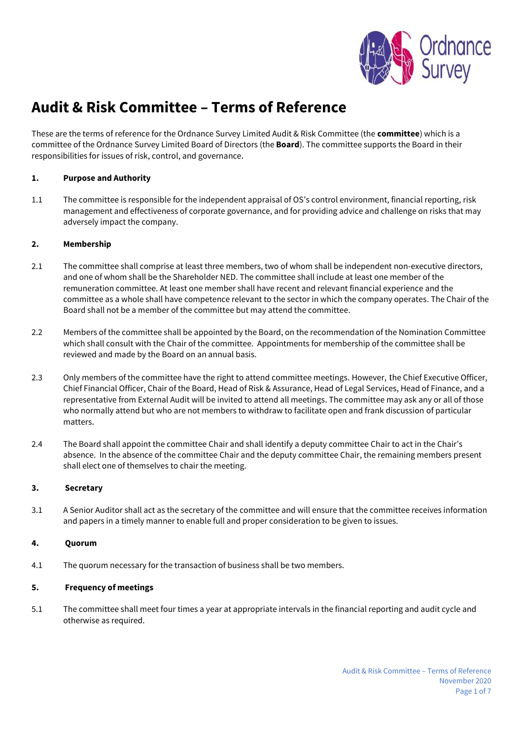

# **Audit & Risk Committee – Terms of Reference**

These are the terms of reference for the Ordnance Survey Limited Audit & Risk Committee (the **committee**) which is a committee of the Ordnance Survey Limited Board of Directors (the **Board**). The committee supports the Board in their responsibilities for issues of risk, control, and governance.

# **1. Purpose and Authority**

1.1 The committee is responsible for the independent appraisal of OS's control environment, financial reporting, risk management and effectiveness of corporate governance, and for providing advice and challenge on risks that may adversely impact the company.

## **2. Membership**

- 2.1 The committee shall comprise at least three members, two of whom shall be independent non-executive directors, and one of whom shall be the Shareholder NED. The committee shall include at least one member of the remuneration committee. At least one member shall have recent and relevant financial experience and the committee as a whole shall have competence relevant to the sector in which the company operates. The Chair of the Board shall not be a member of the committee but may attend the committee.
- 2.2 Members of the committee shall be appointed by the Board, on the recommendation of the Nomination Committee which shall consult with the Chair of the committee. Appointments for membership of the committee shall be reviewed and made by the Board on an annual basis.
- 2.3 Only members of the committee have the right to attend committee meetings. However, the Chief Executive Officer, Chief Financial Officer, Chair of the Board, Head of Risk & Assurance, Head of Legal Services, Head of Finance, and a representative from External Audit will be invited to attend all meetings. The committee may ask any or all of those who normally attend but who are not members to withdraw to facilitate open and frank discussion of particular matters.
- 2.4 The Board shall appoint the committee Chair and shall identify a deputy committee Chair to act in the Chair's absence. In the absence of the committee Chair and the deputy committee Chair, the remaining members present shall elect one of themselves to chair the meeting.

#### **3. Secretary**

3.1 A Senior Auditor shall act as the secretary of the committee and will ensure that the committee receives information and papers in a timely manner to enable full and proper consideration to be given to issues.

# **4. Quorum**

4.1 The quorum necessary for the transaction of business shall be two members.

#### **5. Frequency of meetings**

5.1 The committee shall meet four times a year at appropriate intervals in the financial reporting and audit cycle and otherwise as required.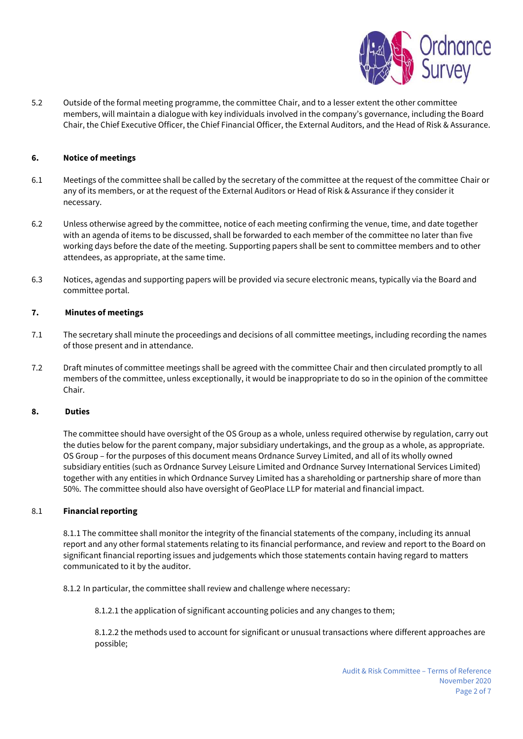

5.2 Outside of the formal meeting programme, the committee Chair, and to a lesser extent the other committee members, will maintain a dialogue with key individuals involved in the company's governance, including the Board Chair, the Chief Executive Officer, the Chief Financial Officer, the External Auditors, and the Head of Risk & Assurance.

## **6. Notice of meetings**

- 6.1 Meetings of the committee shall be called by the secretary of the committee at the request of the committee Chair or any of its members, or at the request of the External Auditors or Head of Risk & Assurance if they consider it necessary.
- 6.2 Unless otherwise agreed by the committee, notice of each meeting confirming the venue, time, and date together with an agenda of items to be discussed, shall be forwarded to each member of the committee no later than five working days before the date of the meeting. Supporting papers shall be sent to committee members and to other attendees, as appropriate, at the same time.
- 6.3 Notices, agendas and supporting papers will be provided via secure electronic means, typically via the Board and committee portal.

#### **7. Minutes of meetings**

- 7.1 The secretary shall minute the proceedings and decisions of all committee meetings, including recording the names of those present and in attendance.
- 7.2 Draft minutes of committee meetings shall be agreed with the committee Chair and then circulated promptly to all members of the committee, unless exceptionally, it would be inappropriate to do so in the opinion of the committee Chair.

#### **8. Duties**

The committee should have oversight of the OS Group as a whole, unless required otherwise by regulation, carry out the duties below for the parent company, major subsidiary undertakings, and the group as a whole, as appropriate. OS Group – for the purposes of this document means Ordnance Survey Limited, and all of its wholly owned subsidiary entities (such as Ordnance Survey Leisure Limited and Ordnance Survey International Services Limited) together with any entities in which Ordnance Survey Limited has a shareholding or partnership share of more than 50%. The committee should also have oversight of GeoPlace LLP for material and financial impact.

#### 8.1 **Financial reporting**

8.1.1 The committee shall monitor the integrity of the financial statements of the company, including its annual report and any other formal statements relating to its financial performance, and review and report to the Board on significant financial reporting issues and judgements which those statements contain having regard to matters communicated to it by the auditor.

8.1.2 In particular, the committee shall review and challenge where necessary:

8.1.2.1 the application of significant accounting policies and any changes to them;

8.1.2.2 the methods used to account for significant or unusual transactions where different approaches are possible;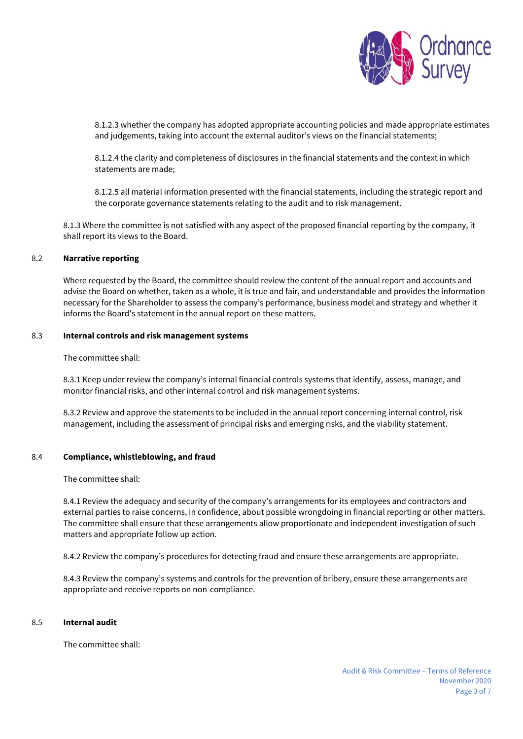

8.1.2.3 whether the company has adopted appropriate accounting policies and made appropriate estimates and judgements, taking into account the external auditor's views on the financial statements;

8.1.2.4 the clarity and completeness of disclosures in the financial statements and the context in which statements are made;

8.1.2.5 all material information presented with the financial statements, including the strategic report and the corporate governance statements relating to the audit and to risk management.

8.1.3 Where the committee is not satisfied with any aspect of the proposed financial reporting by the company, it shall report its views to the Board.

#### 8.2 **Narrative reporting**

Where requested by the Board, the committee should review the content of the annual report and accounts and advise the Board on whether, taken as a whole, it is true and fair, and understandable and provides the information necessary for the Shareholder to assess the company's performance, business model and strategy and whether it informs the Board's statement in the annual report on these matters.

#### 8.3 **Internal controls and risk management systems**

The committee shall:

8.3.1 Keep under review the company's internal financial controls systems that identify, assess, manage, and monitor financial risks, and other internal control and risk management systems.

8.3.2 Review and approve the statements to be included in the annual report concerning internal control, risk management, including the assessment of principal risks and emerging risks, and the viability statement.

#### 8.4 **Compliance, whistleblowing, and fraud**

The committee shall:

8.4.1 Review the adequacy and security of the company's arrangements for its employees and contractors and external parties to raise concerns, in confidence, about possible wrongdoing in financial reporting or other matters. The committee shall ensure that these arrangements allow proportionate and independent investigation of such matters and appropriate follow up action.

8.4.2 Review the company's procedures for detecting fraud and ensure these arrangements are appropriate.

8.4.3 Review the company's systems and controls for the prevention of bribery, ensure these arrangements are appropriate and receive reports on non-compliance.

#### 8.5 **Internal audit**

The committee shall: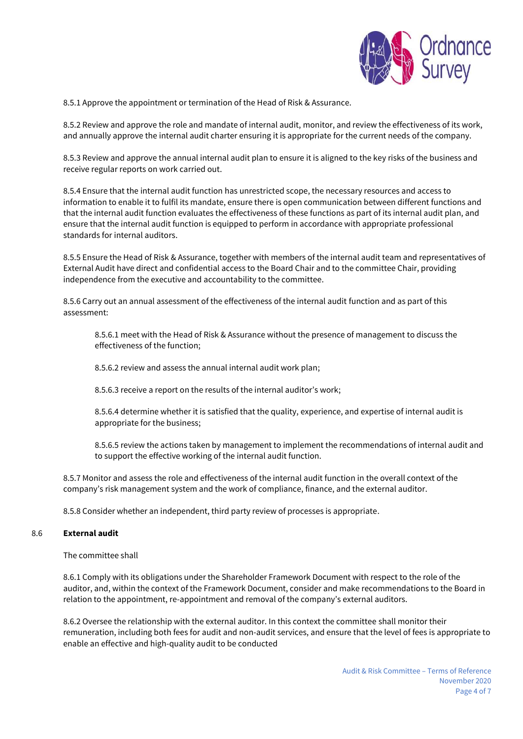

8.5.1 Approve the appointment or termination of the Head of Risk & Assurance.

8.5.2 Review and approve the role and mandate of internal audit, monitor, and review the effectiveness of its work, and annually approve the internal audit charter ensuring it is appropriate for the current needs of the company.

8.5.3 Review and approve the annual internal audit plan to ensure it is aligned to the key risks of the business and receive regular reports on work carried out.

8.5.4 Ensure that the internal audit function has unrestricted scope, the necessary resources and access to information to enable it to fulfil its mandate, ensure there is open communication between different functions and that the internal audit function evaluates the effectiveness of these functions as part of its internal audit plan, and ensure that the internal audit function is equipped to perform in accordance with appropriate professional standards for internal auditors.

8.5.5 Ensure the Head of Risk & Assurance, together with members of the internal audit team and representatives of External Audit have direct and confidential access to the Board Chair and to the committee Chair, providing independence from the executive and accountability to the committee.

8.5.6 Carry out an annual assessment of the effectiveness of the internal audit function and as part of this assessment:

8.5.6.1 meet with the Head of Risk & Assurance without the presence of management to discuss the effectiveness of the function;

8.5.6.2 review and assess the annual internal audit work plan;

8.5.6.3 receive a report on the results of the internal auditor's work;

8.5.6.4 determine whether it is satisfied that the quality, experience, and expertise of internal audit is appropriate for the business;

8.5.6.5 review the actions taken by management to implement the recommendations of internal audit and to support the effective working of the internal audit function.

8.5.7 Monitor and assess the role and effectiveness of the internal audit function in the overall context of the company's risk management system and the work of compliance, finance, and the external auditor.

8.5.8 Consider whether an independent, third party review of processes is appropriate.

#### 8.6 **External audit**

The committee shall

8.6.1 Comply with its obligations under the Shareholder Framework Document with respect to the role of the auditor, and, within the context of the Framework Document, consider and make recommendations to the Board in relation to the appointment, re-appointment and removal of the company's external auditors.

8.6.2 Oversee the relationship with the external auditor. In this context the committee shall monitor their remuneration, including both fees for audit and non-audit services, and ensure that the level of fees is appropriate to enable an effective and high-quality audit to be conducted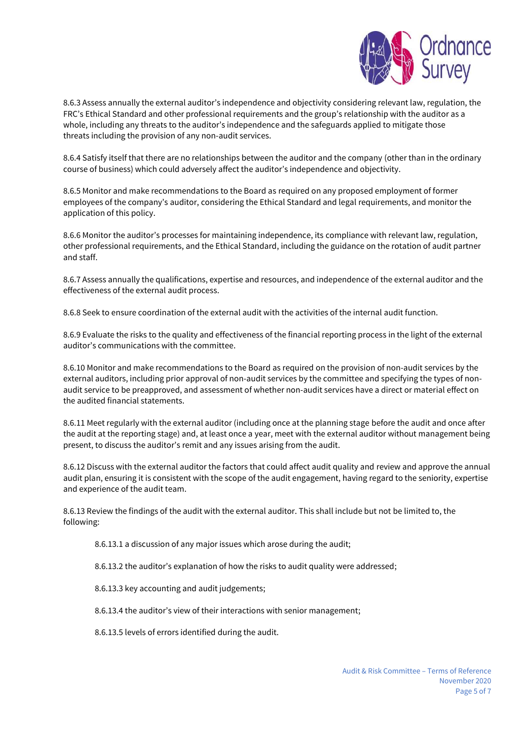

8.6.3 Assess annually the external auditor's independence and objectivity considering relevant law, regulation, the FRC's Ethical Standard and other professional requirements and the group's relationship with the auditor as a whole, including any threats to the auditor's independence and the safeguards applied to mitigate those threats including the provision of any non-audit services.

8.6.4 Satisfy itself that there are no relationships between the auditor and the company (other than in the ordinary course of business) which could adversely affect the auditor's independence and objectivity.

8.6.5 Monitor and make recommendations to the Board as required on any proposed employment of former employees of the company's auditor, considering the Ethical Standard and legal requirements, and monitor the application of this policy.

8.6.6 Monitor the auditor's processes for maintaining independence, its compliance with relevant law, regulation, other professional requirements, and the Ethical Standard, including the guidance on the rotation of audit partner and staff.

8.6.7 Assess annually the qualifications, expertise and resources, and independence of the external auditor and the effectiveness of the external audit process.

8.6.8 Seek to ensure coordination of the external audit with the activities of the internal audit function.

8.6.9 Evaluate the risks to the quality and effectiveness of the financial reporting process in the light of the external auditor's communications with the committee.

8.6.10 Monitor and make recommendations to the Board as required on the provision of non-audit services by the external auditors, including prior approval of non-audit services by the committee and specifying the types of nonaudit service to be preapproved, and assessment of whether non-audit services have a direct or material effect on the audited financial statements.

8.6.11 Meet regularly with the external auditor (including once at the planning stage before the audit and once after the audit at the reporting stage) and, at least once a year, meet with the external auditor without management being present, to discuss the auditor's remit and any issues arising from the audit.

8.6.12 Discuss with the external auditor the factors that could affect audit quality and review and approve the annual audit plan, ensuring it is consistent with the scope of the audit engagement, having regard to the seniority, expertise and experience of the audit team.

8.6.13 Review the findings of the audit with the external auditor. This shall include but not be limited to, the following:

8.6.13.1 a discussion of any major issues which arose during the audit;

8.6.13.2 the auditor's explanation of how the risks to audit quality were addressed;

8.6.13.3 key accounting and audit judgements;

8.6.13.4 the auditor's view of their interactions with senior management;

8.6.13.5 levels of errors identified during the audit.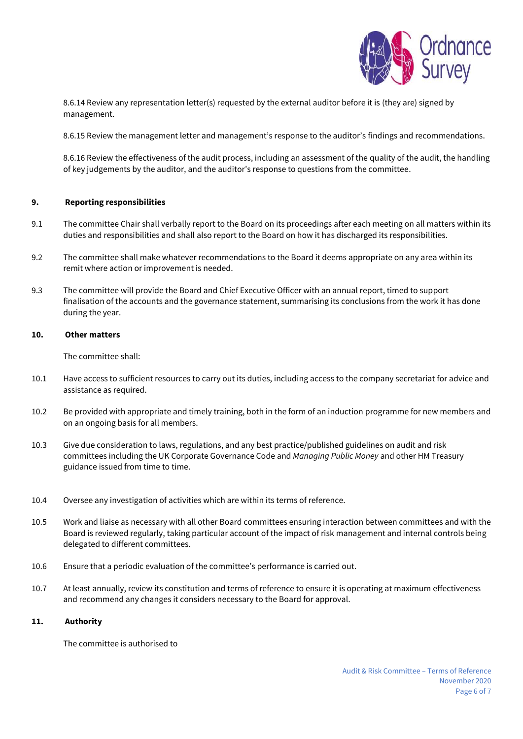

8.6.14 Review any representation letter(s) requested by the external auditor before it is (they are) signed by management.

8.6.15 Review the management letter and management's response to the auditor's findings and recommendations.

8.6.16 Review the effectiveness of the audit process, including an assessment of the quality of the audit, the handling of key judgements by the auditor, and the auditor's response to questions from the committee.

#### **9. Reporting responsibilities**

- 9.1 The committee Chair shall verbally report to the Board on its proceedings after each meeting on all matters within its duties and responsibilities and shall also report to the Board on how it has discharged its responsibilities.
- 9.2 The committee shall make whatever recommendations to the Board it deems appropriate on any area within its remit where action or improvement is needed.
- 9.3 The committee will provide the Board and Chief Executive Officer with an annual report, timed to support finalisation of the accounts and the governance statement, summarising its conclusions from the work it has done during the year.

#### **10. Other matters**

The committee shall:

- 10.1 Have access to sufficient resources to carry out its duties, including access to the company secretariat for advice and assistance as required.
- 10.2 Be provided with appropriate and timely training, both in the form of an induction programme for new members and on an ongoing basis for all members.
- 10.3 Give due consideration to laws, regulations, and any best practice/published guidelines on audit and risk committees including the UK Corporate Governance Code and *Managing Public Money* and other HM Treasury guidance issued from time to time.
- 10.4 Oversee any investigation of activities which are within its terms of reference.
- 10.5 Work and liaise as necessary with all other Board committees ensuring interaction between committees and with the Board is reviewed regularly, taking particular account of the impact of risk management and internal controls being delegated to different committees.
- 10.6 Ensure that a periodic evaluation of the committee's performance is carried out.
- 10.7 At least annually, review its constitution and terms of reference to ensure it is operating at maximum effectiveness and recommend any changes it considers necessary to the Board for approval.

#### **11. Authority**

The committee is authorised to